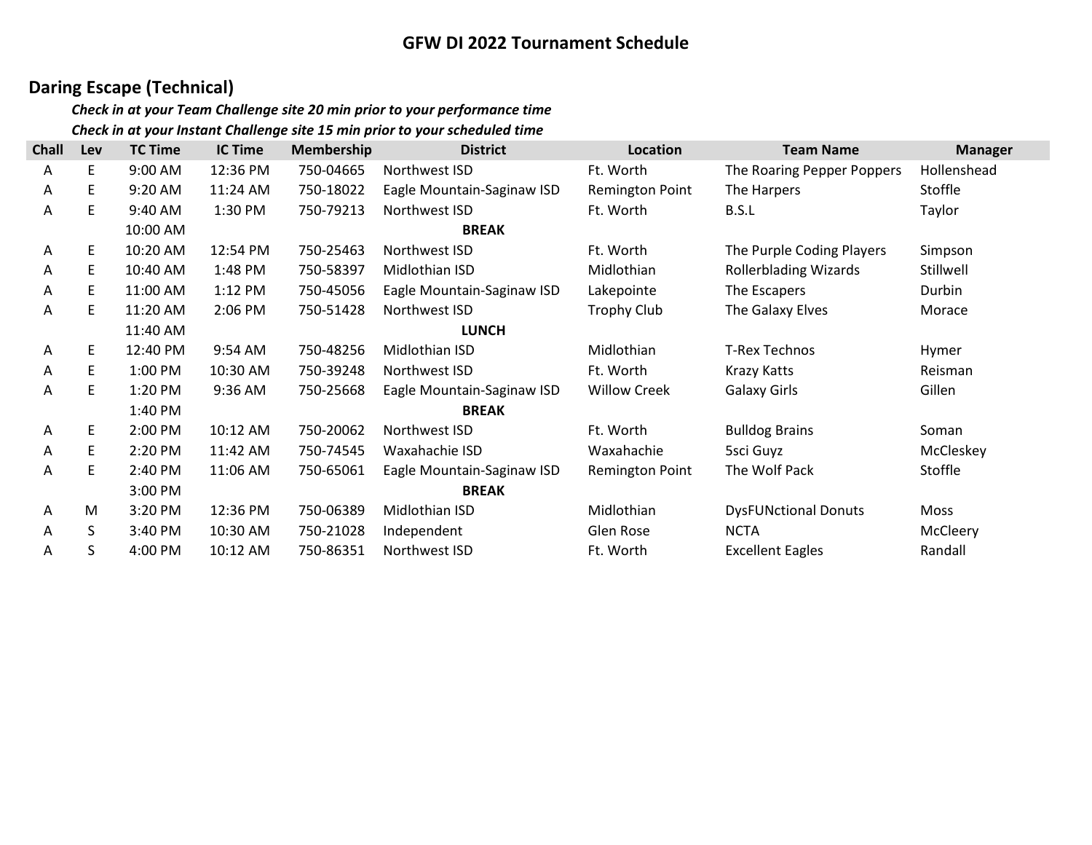## Daring Escape (Technical)

| <b>Chall</b> | Lev | <b>TC Time</b> | <b>IC Time</b> | <b>Membership</b> | <b>District</b>            | Location               | <b>Team Name</b>             | <b>Manager</b> |
|--------------|-----|----------------|----------------|-------------------|----------------------------|------------------------|------------------------------|----------------|
| A            | E   | 9:00 AM        | 12:36 PM       | 750-04665         | Northwest ISD              | Ft. Worth              | The Roaring Pepper Poppers   | Hollenshead    |
| Α            | E   | 9:20 AM        | 11:24 AM       | 750-18022         | Eagle Mountain-Saginaw ISD | <b>Remington Point</b> | The Harpers                  | Stoffle        |
| A            | E   | 9:40 AM        | 1:30 PM        | 750-79213         | Northwest ISD              | Ft. Worth              | B.S.L                        | Taylor         |
|              |     | 10:00 AM       |                |                   | <b>BREAK</b>               |                        |                              |                |
| A            | E   | 10:20 AM       | 12:54 PM       | 750-25463         | Northwest ISD              | Ft. Worth              | The Purple Coding Players    | Simpson        |
| A            | E   | 10:40 AM       | 1:48 PM        | 750-58397         | Midlothian ISD             | Midlothian             | <b>Rollerblading Wizards</b> | Stillwell      |
| Α            | E   | 11:00 AM       | 1:12 PM        | 750-45056         | Eagle Mountain-Saginaw ISD | Lakepointe             | The Escapers                 | Durbin         |
| A            | E   | 11:20 AM       | 2:06 PM        | 750-51428         | Northwest ISD              | <b>Trophy Club</b>     | The Galaxy Elves             | Morace         |
|              |     | 11:40 AM       |                |                   | <b>LUNCH</b>               |                        |                              |                |
| A            | E   | 12:40 PM       | 9:54 AM        | 750-48256         | Midlothian ISD             | Midlothian             | <b>T-Rex Technos</b>         | Hymer          |
| A            | E   | 1:00 PM        | 10:30 AM       | 750-39248         | Northwest ISD              | Ft. Worth              | <b>Krazy Katts</b>           | Reisman        |
| A            | E   | 1:20 PM        | 9:36 AM        | 750-25668         | Eagle Mountain-Saginaw ISD | <b>Willow Creek</b>    | <b>Galaxy Girls</b>          | Gillen         |
|              |     | 1:40 PM        |                |                   | <b>BREAK</b>               |                        |                              |                |
| Α            | E   | 2:00 PM        | 10:12 AM       | 750-20062         | Northwest ISD              | Ft. Worth              | <b>Bulldog Brains</b>        | Soman          |
| A            | E   | 2:20 PM        | 11:42 AM       | 750-74545         | Waxahachie ISD             | Waxahachie             | 5sci Guyz                    | McCleskey      |
| A            | E   | 2:40 PM        | 11:06 AM       | 750-65061         | Eagle Mountain-Saginaw ISD | <b>Remington Point</b> | The Wolf Pack                | Stoffle        |
|              |     | 3:00 PM        |                |                   | <b>BREAK</b>               |                        |                              |                |
| Α            | M   | 3:20 PM        | 12:36 PM       | 750-06389         | Midlothian ISD             | Midlothian             | <b>DysFUNctional Donuts</b>  | Moss           |
| Α            | S   | 3:40 PM        | 10:30 AM       | 750-21028         | Independent                | Glen Rose              | <b>NCTA</b>                  | McCleery       |
| Α            | S   | 4:00 PM        | 10:12 AM       | 750-86351         | Northwest ISD              | Ft. Worth              | <b>Excellent Eagles</b>      | Randall        |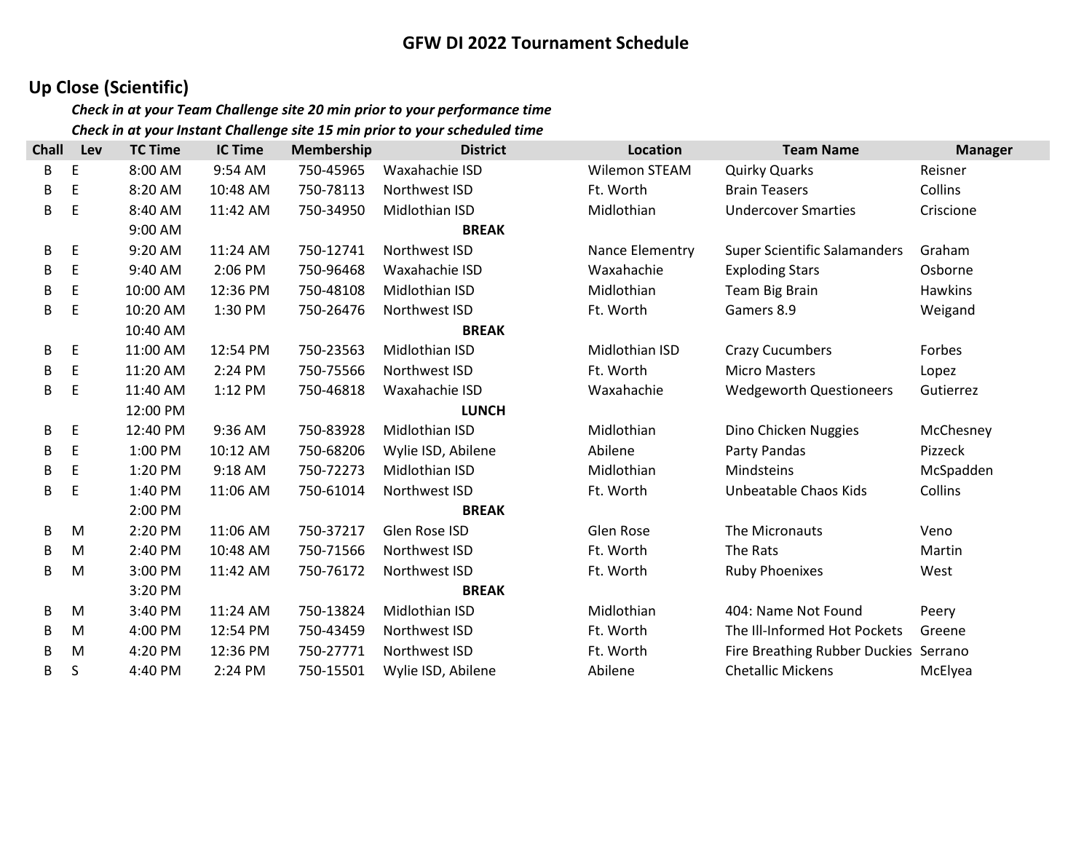# Up Close (Scientific)

| <b>Chall</b> | Lev         | <b>TC Time</b> | <b>IC Time</b> | <b>Membership</b> | <b>District</b>    | Location        | <b>Team Name</b>                      | <b>Manager</b> |
|--------------|-------------|----------------|----------------|-------------------|--------------------|-----------------|---------------------------------------|----------------|
| В            | E           | 8:00 AM        | 9:54 AM        | 750-45965         | Waxahachie ISD     | Wilemon STEAM   | Quirky Quarks                         | Reisner        |
| В            | E           | 8:20 AM        | 10:48 AM       | 750-78113         | Northwest ISD      | Ft. Worth       | <b>Brain Teasers</b>                  | Collins        |
| B            | E           | 8:40 AM        | 11:42 AM       | 750-34950         | Midlothian ISD     | Midlothian      | <b>Undercover Smarties</b>            | Criscione      |
|              |             | 9:00 AM        |                |                   | <b>BREAK</b>       |                 |                                       |                |
| B            | E           | 9:20 AM        | 11:24 AM       | 750-12741         | Northwest ISD      | Nance Elementry | <b>Super Scientific Salamanders</b>   | Graham         |
| B            | E           | 9:40 AM        | 2:06 PM        | 750-96468         | Waxahachie ISD     | Waxahachie      | <b>Exploding Stars</b>                | Osborne        |
| B            | Е           | 10:00 AM       | 12:36 PM       | 750-48108         | Midlothian ISD     | Midlothian      | Team Big Brain                        | Hawkins        |
| B            | E           | 10:20 AM       | 1:30 PM        | 750-26476         | Northwest ISD      | Ft. Worth       | Gamers 8.9                            | Weigand        |
|              |             | 10:40 AM       |                |                   | <b>BREAK</b>       |                 |                                       |                |
| В            | E           | 11:00 AM       | 12:54 PM       | 750-23563         | Midlothian ISD     | Midlothian ISD  | <b>Crazy Cucumbers</b>                | Forbes         |
| B            | $\mathsf E$ | 11:20 AM       | 2:24 PM        | 750-75566         | Northwest ISD      | Ft. Worth       | <b>Micro Masters</b>                  | Lopez          |
| B            | E           | 11:40 AM       | 1:12 PM        | 750-46818         | Waxahachie ISD     | Waxahachie      | <b>Wedgeworth Questioneers</b>        | Gutierrez      |
|              |             | 12:00 PM       |                |                   | <b>LUNCH</b>       |                 |                                       |                |
| B            | E           | 12:40 PM       | 9:36 AM        | 750-83928         | Midlothian ISD     | Midlothian      | Dino Chicken Nuggies                  | McChesney      |
| B            | $\mathsf E$ | 1:00 PM        | 10:12 AM       | 750-68206         | Wylie ISD, Abilene | Abilene         | Party Pandas                          | Pizzeck        |
| B            | $\mathsf E$ | 1:20 PM        | 9:18 AM        | 750-72273         | Midlothian ISD     | Midlothian      | Mindsteins                            | McSpadden      |
| B            | E           | 1:40 PM        | 11:06 AM       | 750-61014         | Northwest ISD      | Ft. Worth       | Unbeatable Chaos Kids                 | Collins        |
|              |             | 2:00 PM        |                |                   | <b>BREAK</b>       |                 |                                       |                |
| B            | M           | 2:20 PM        | 11:06 AM       | 750-37217         | Glen Rose ISD      | Glen Rose       | The Micronauts                        | Veno           |
| B            | M           | 2:40 PM        | 10:48 AM       | 750-71566         | Northwest ISD      | Ft. Worth       | The Rats                              | Martin         |
| B            | M           | 3:00 PM        | 11:42 AM       | 750-76172         | Northwest ISD      | Ft. Worth       | <b>Ruby Phoenixes</b>                 | West           |
|              |             | 3:20 PM        |                |                   | <b>BREAK</b>       |                 |                                       |                |
| B            | M           | 3:40 PM        | 11:24 AM       | 750-13824         | Midlothian ISD     | Midlothian      | 404: Name Not Found                   | Peery          |
| В            | M           | 4:00 PM        | 12:54 PM       | 750-43459         | Northwest ISD      | Ft. Worth       | The III-Informed Hot Pockets          | Greene         |
| B            | M           | 4:20 PM        | 12:36 PM       | 750-27771         | Northwest ISD      | Ft. Worth       | Fire Breathing Rubber Duckies Serrano |                |
| В            | S           | 4:40 PM        | 2:24 PM        | 750-15501         | Wylie ISD, Abilene | Abilene         | <b>Chetallic Mickens</b>              | McElyea        |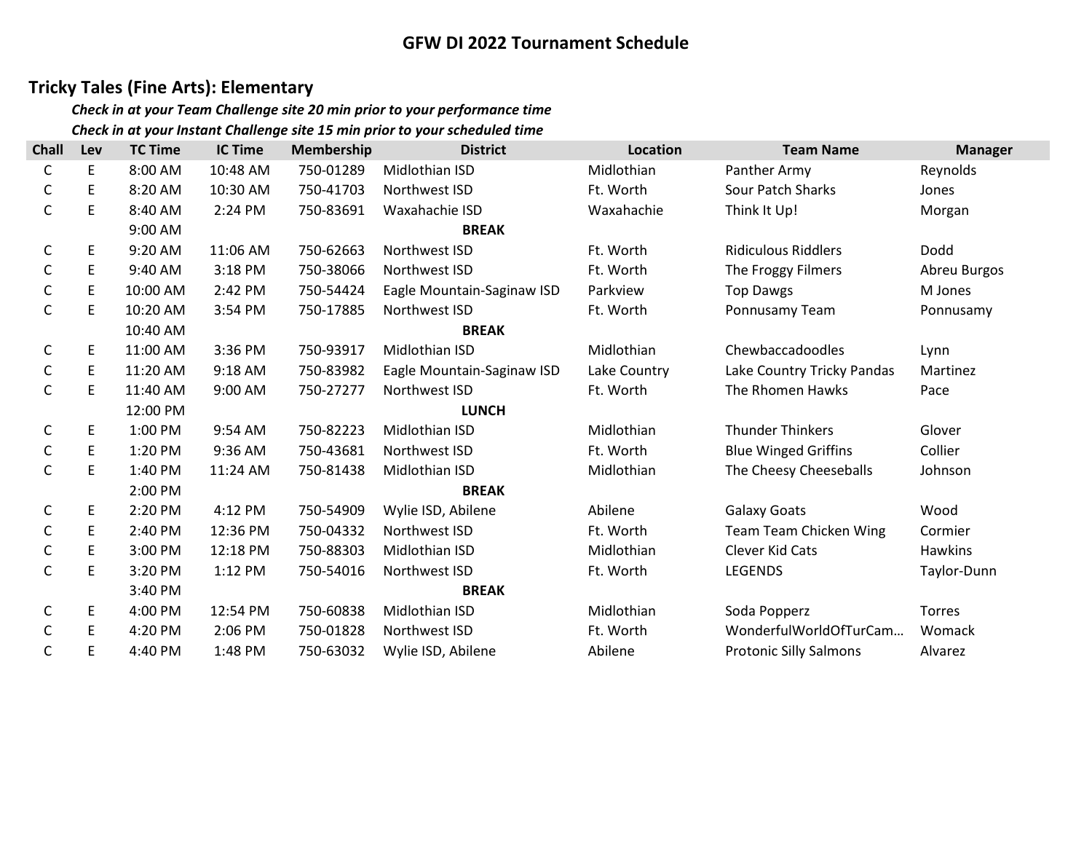## Tricky Tales (Fine Arts): Elementary

| <b>Chall</b> | Lev | <b>TC Time</b> | <b>IC Time</b> | Membership | <b>District</b>            | <b>Location</b> | <b>Team Name</b>              | <b>Manager</b> |
|--------------|-----|----------------|----------------|------------|----------------------------|-----------------|-------------------------------|----------------|
| С            | E   | 8:00 AM        | 10:48 AM       | 750-01289  | Midlothian ISD             | Midlothian      | Panther Army                  | Reynolds       |
| С            | E   | 8:20 AM        | 10:30 AM       | 750-41703  | Northwest ISD              | Ft. Worth       | <b>Sour Patch Sharks</b>      | Jones          |
| С            | E   | 8:40 AM        | 2:24 PM        | 750-83691  | Waxahachie ISD             | Waxahachie      | Think It Up!                  | Morgan         |
|              |     | 9:00 AM        |                |            | <b>BREAK</b>               |                 |                               |                |
| С            | E   | 9:20 AM        | 11:06 AM       | 750-62663  | Northwest ISD              | Ft. Worth       | <b>Ridiculous Riddlers</b>    | Dodd           |
| С            | E   | 9:40 AM        | 3:18 PM        | 750-38066  | Northwest ISD              | Ft. Worth       | The Froggy Filmers            | Abreu Burgos   |
| С            | E   | 10:00 AM       | 2:42 PM        | 750-54424  | Eagle Mountain-Saginaw ISD | Parkview        | <b>Top Dawgs</b>              | M Jones        |
| C            | E   | 10:20 AM       | 3:54 PM        | 750-17885  | Northwest ISD              | Ft. Worth       | Ponnusamy Team                | Ponnusamy      |
|              |     | 10:40 AM       |                |            | <b>BREAK</b>               |                 |                               |                |
| С            | E   | 11:00 AM       | 3:36 PM        | 750-93917  | Midlothian ISD             | Midlothian      | Chewbaccadoodles              | Lynn           |
| С            | E   | 11:20 AM       | 9:18 AM        | 750-83982  | Eagle Mountain-Saginaw ISD | Lake Country    | Lake Country Tricky Pandas    | Martinez       |
| С            | E   | 11:40 AM       | 9:00 AM        | 750-27277  | Northwest ISD              | Ft. Worth       | The Rhomen Hawks              | Pace           |
|              |     | 12:00 PM       |                |            | <b>LUNCH</b>               |                 |                               |                |
| C            | E   | 1:00 PM        | 9:54 AM        | 750-82223  | Midlothian ISD             | Midlothian      | <b>Thunder Thinkers</b>       | Glover         |
| С            | E   | 1:20 PM        | 9:36 AM        | 750-43681  | Northwest ISD              | Ft. Worth       | <b>Blue Winged Griffins</b>   | Collier        |
| С            | E   | 1:40 PM        | 11:24 AM       | 750-81438  | Midlothian ISD             | Midlothian      | The Cheesy Cheeseballs        | Johnson        |
|              |     | 2:00 PM        |                |            | <b>BREAK</b>               |                 |                               |                |
| С            | E   | 2:20 PM        | 4:12 PM        | 750-54909  | Wylie ISD, Abilene         | Abilene         | <b>Galaxy Goats</b>           | Wood           |
| С            | E   | 2:40 PM        | 12:36 PM       | 750-04332  | Northwest ISD              | Ft. Worth       | Team Team Chicken Wing        | Cormier        |
| С            | E   | 3:00 PM        | 12:18 PM       | 750-88303  | Midlothian ISD             | Midlothian      | Clever Kid Cats               | <b>Hawkins</b> |
| С            | E   | 3:20 PM        | 1:12 PM        | 750-54016  | Northwest ISD              | Ft. Worth       | <b>LEGENDS</b>                | Taylor-Dunn    |
|              |     | 3:40 PM        |                |            | <b>BREAK</b>               |                 |                               |                |
| С            | E   | 4:00 PM        | 12:54 PM       | 750-60838  | Midlothian ISD             | Midlothian      | Soda Popperz                  | <b>Torres</b>  |
| С            | E   | 4:20 PM        | 2:06 PM        | 750-01828  | Northwest ISD              | Ft. Worth       | WonderfulWorldOfTurCam        | Womack         |
| C            | E   | 4:40 PM        | 1:48 PM        | 750-63032  | Wylie ISD, Abilene         | Abilene         | <b>Protonic Silly Salmons</b> | Alvarez        |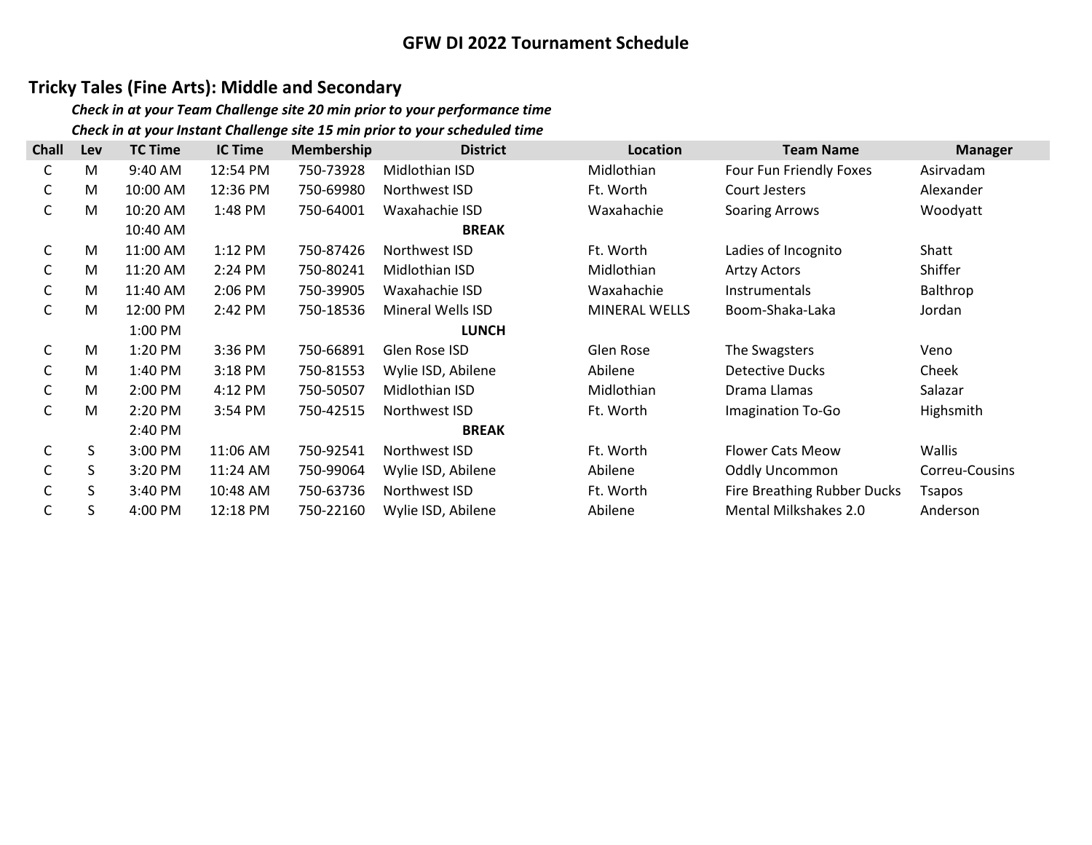## Tricky Tales (Fine Arts): Middle and Secondary

| <b>Chall</b> | Lev | <b>TC Time</b> | <b>IC Time</b> | <b>Membership</b> | <b>District</b>    | Location      | <b>Team Name</b>                   | <b>Manager</b> |
|--------------|-----|----------------|----------------|-------------------|--------------------|---------------|------------------------------------|----------------|
| С            | M   | 9:40 AM        | 12:54 PM       | 750-73928         | Midlothian ISD     | Midlothian    | Four Fun Friendly Foxes            | Asirvadam      |
| С            | M   | 10:00 AM       | 12:36 PM       | 750-69980         | Northwest ISD      | Ft. Worth     | Court Jesters                      | Alexander      |
| С            | M   | 10:20 AM       | 1:48 PM        | 750-64001         | Waxahachie ISD     | Waxahachie    | <b>Soaring Arrows</b>              | Woodyatt       |
|              |     | 10:40 AM       |                |                   | <b>BREAK</b>       |               |                                    |                |
| C            | M   | 11:00 AM       | $1:12$ PM      | 750-87426         | Northwest ISD      | Ft. Worth     | Ladies of Incognito                | Shatt          |
| С            | M   | 11:20 AM       | 2:24 PM        | 750-80241         | Midlothian ISD     | Midlothian    | <b>Artzy Actors</b>                | Shiffer        |
| С            | M   | 11:40 AM       | 2:06 PM        | 750-39905         | Waxahachie ISD     | Waxahachie    | <b>Instrumentals</b>               | Balthrop       |
| С            | M   | 12:00 PM       | 2:42 PM        | 750-18536         | Mineral Wells ISD  | MINERAL WELLS | Boom-Shaka-Laka                    | Jordan         |
|              |     | 1:00 PM        |                |                   | <b>LUNCH</b>       |               |                                    |                |
| С            | M   | 1:20 PM        | 3:36 PM        | 750-66891         | Glen Rose ISD      | Glen Rose     | The Swagsters                      | Veno           |
| C            | M   | 1:40 PM        | 3:18 PM        | 750-81553         | Wylie ISD, Abilene | Abilene       | Detective Ducks                    | Cheek          |
| С            | M   | 2:00 PM        | 4:12 PM        | 750-50507         | Midlothian ISD     | Midlothian    | Drama Llamas                       | Salazar        |
| С            | M   | 2:20 PM        | 3:54 PM        | 750-42515         | Northwest ISD      | Ft. Worth     | Imagination To-Go                  | Highsmith      |
|              |     | 2:40 PM        |                |                   | <b>BREAK</b>       |               |                                    |                |
| C            | S.  | 3:00 PM        | 11:06 AM       | 750-92541         | Northwest ISD      | Ft. Worth     | <b>Flower Cats Meow</b>            | Wallis         |
| С            | S   | $3:20$ PM      | 11:24 AM       | 750-99064         | Wylie ISD, Abilene | Abilene       | <b>Oddly Uncommon</b>              | Correu-Cousins |
| C            | S   | 3:40 PM        | 10:48 AM       | 750-63736         | Northwest ISD      | Ft. Worth     | <b>Fire Breathing Rubber Ducks</b> | Tsapos         |
| С            | S   | 4:00 PM        | 12:18 PM       | 750-22160         | Wylie ISD, Abilene | Abilene       | <b>Mental Milkshakes 2.0</b>       | Anderson       |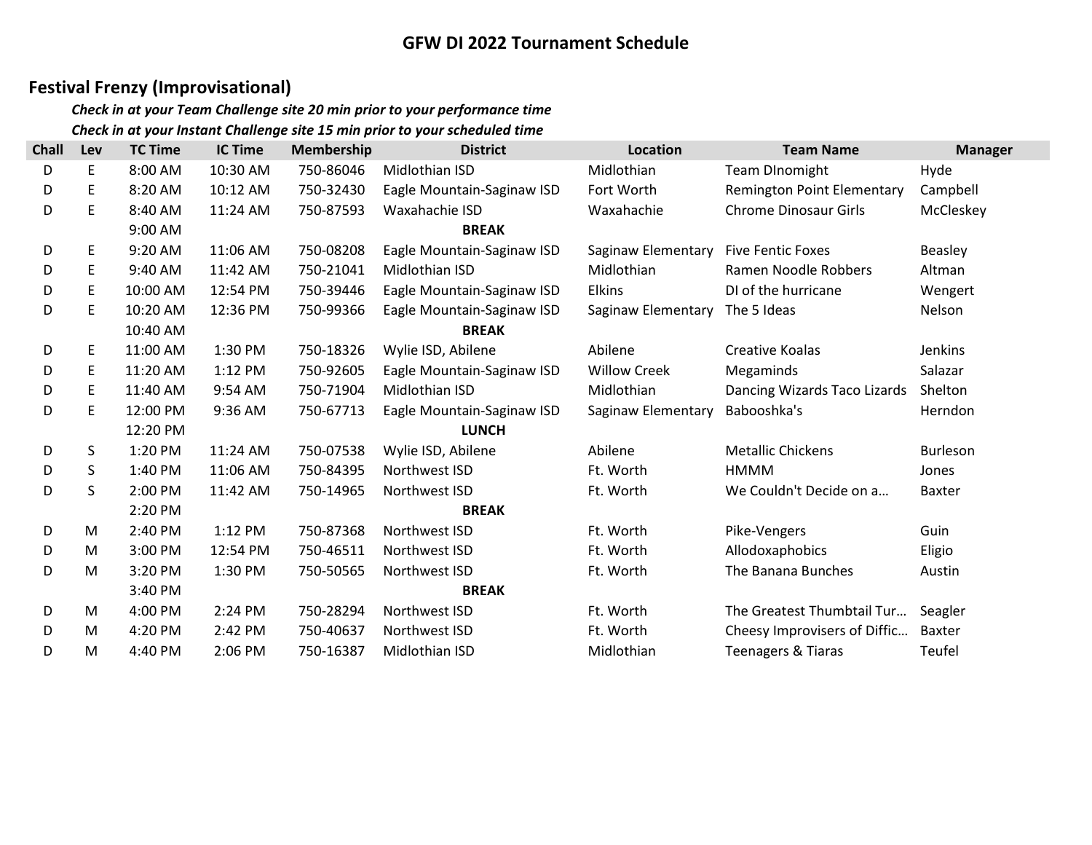## Festival Frenzy (Improvisational)

| <b>Chall</b> | Lev | <b>TC Time</b> | <b>IC Time</b> | <b>Membership</b> | <b>District</b>            | Location            | <b>Team Name</b>                  | <b>Manager</b> |
|--------------|-----|----------------|----------------|-------------------|----------------------------|---------------------|-----------------------------------|----------------|
| D            | E   | 8:00 AM        | 10:30 AM       | 750-86046         | Midlothian ISD             | Midlothian          | <b>Team DInomight</b>             | Hyde           |
| D            | Ε   | 8:20 AM        | 10:12 AM       | 750-32430         | Eagle Mountain-Saginaw ISD | Fort Worth          | <b>Remington Point Elementary</b> | Campbell       |
| D            | E   | 8:40 AM        | 11:24 AM       | 750-87593         | Waxahachie ISD             | Waxahachie          | <b>Chrome Dinosaur Girls</b>      | McCleskey      |
|              |     | 9:00 AM        |                |                   | <b>BREAK</b>               |                     |                                   |                |
| D            | E   | 9:20 AM        | 11:06 AM       | 750-08208         | Eagle Mountain-Saginaw ISD | Saginaw Elementary  | <b>Five Fentic Foxes</b>          | Beasley        |
| D            | E   | 9:40 AM        | 11:42 AM       | 750-21041         | Midlothian ISD             | Midlothian          | Ramen Noodle Robbers              | Altman         |
| D            | E   | 10:00 AM       | 12:54 PM       | 750-39446         | Eagle Mountain-Saginaw ISD | <b>Elkins</b>       | DI of the hurricane               | Wengert        |
| D            | E   | 10:20 AM       | 12:36 PM       | 750-99366         | Eagle Mountain-Saginaw ISD | Saginaw Elementary  | The 5 Ideas                       | Nelson         |
|              |     | 10:40 AM       |                |                   | <b>BREAK</b>               |                     |                                   |                |
| D            | E   | 11:00 AM       | 1:30 PM        | 750-18326         | Wylie ISD, Abilene         | Abilene             | <b>Creative Koalas</b>            | Jenkins        |
| D            | Ε   | 11:20 AM       | 1:12 PM        | 750-92605         | Eagle Mountain-Saginaw ISD | <b>Willow Creek</b> | Megaminds                         | Salazar        |
| D            | E   | 11:40 AM       | 9:54 AM        | 750-71904         | Midlothian ISD             | Midlothian          | Dancing Wizards Taco Lizards      | Shelton        |
| D            | E   | 12:00 PM       | 9:36 AM        | 750-67713         | Eagle Mountain-Saginaw ISD | Saginaw Elementary  | Babooshka's                       | Herndon        |
|              |     | 12:20 PM       |                |                   | <b>LUNCH</b>               |                     |                                   |                |
| D            | S   | 1:20 PM        | 11:24 AM       | 750-07538         | Wylie ISD, Abilene         | Abilene             | <b>Metallic Chickens</b>          | Burleson       |
| D            | S   | 1:40 PM        | 11:06 AM       | 750-84395         | Northwest ISD              | Ft. Worth           | HMMM                              | Jones          |
| D            | S   | 2:00 PM        | 11:42 AM       | 750-14965         | Northwest ISD              | Ft. Worth           | We Couldn't Decide on a           | <b>Baxter</b>  |
|              |     | 2:20 PM        |                |                   | <b>BREAK</b>               |                     |                                   |                |
| D            | M   | 2:40 PM        | 1:12 PM        | 750-87368         | Northwest ISD              | Ft. Worth           | Pike-Vengers                      | Guin           |
| D            | M   | 3:00 PM        | 12:54 PM       | 750-46511         | Northwest ISD              | Ft. Worth           | Allodoxaphobics                   | Eligio         |
| D            | M   | 3:20 PM        | 1:30 PM        | 750-50565         | Northwest ISD              | Ft. Worth           | The Banana Bunches                | Austin         |
|              |     | 3:40 PM        |                |                   | <b>BREAK</b>               |                     |                                   |                |
| D            | M   | 4:00 PM        | 2:24 PM        | 750-28294         | Northwest ISD              | Ft. Worth           | The Greatest Thumbtail Tur        | Seagler        |
| D            | M   | 4:20 PM        | 2:42 PM        | 750-40637         | Northwest ISD              | Ft. Worth           | Cheesy Improvisers of Diffic      | Baxter         |
| D            | M   | 4:40 PM        | 2:06 PM        | 750-16387         | Midlothian ISD             | Midlothian          | <b>Teenagers &amp; Tiaras</b>     | Teufel         |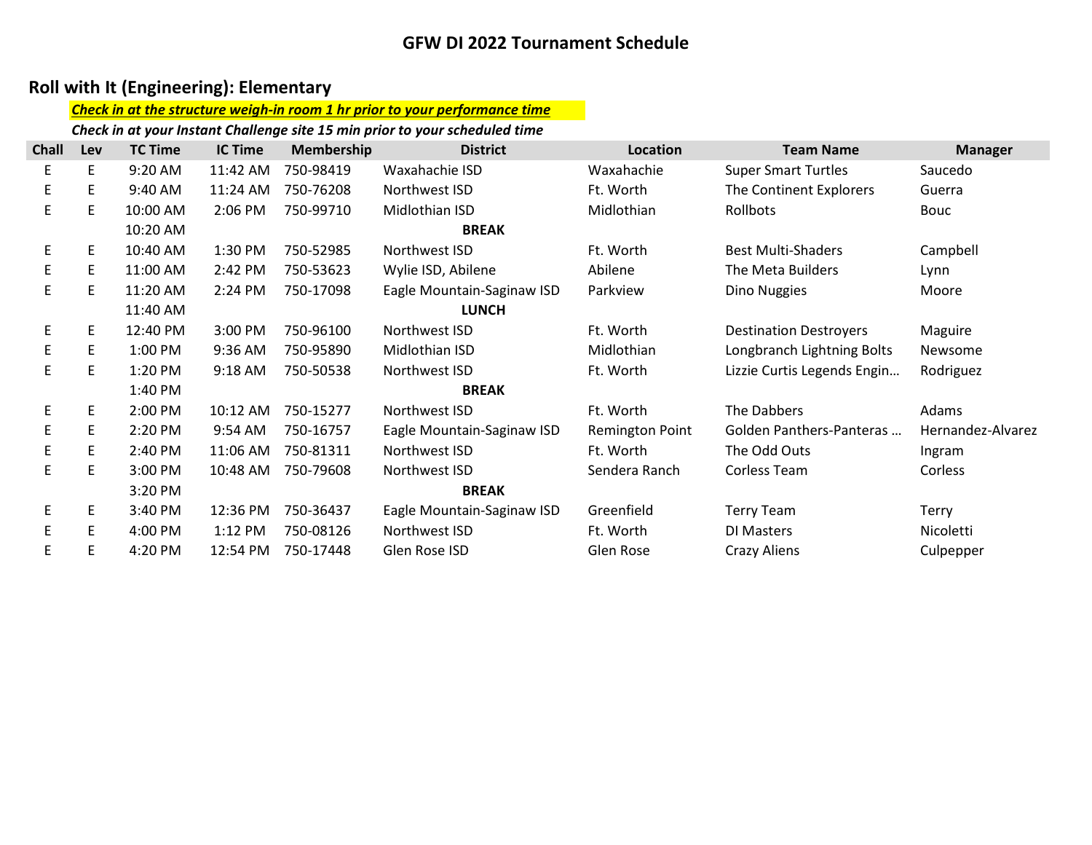## Roll with It (Engineering): Elementary

#### Check in at the structure weigh-in room 1 hr prior to your performance time

Check in at your Instant Challenge site 15 min prior to your scheduled time

| <b>Chall</b> | Lev | <b>TC Time</b> | <b>IC Time</b> | <b>Membership</b> | <b>District</b>            | Location               | <b>Team Name</b>              | <b>Manager</b>    |
|--------------|-----|----------------|----------------|-------------------|----------------------------|------------------------|-------------------------------|-------------------|
| E.           | E   | 9:20 AM        | 11:42 AM       | 750-98419         | Waxahachie ISD             | Waxahachie             | <b>Super Smart Turtles</b>    | Saucedo           |
| E.           | E   | 9:40 AM        | 11:24 AM       | 750-76208         | Northwest ISD              | Ft. Worth              | The Continent Explorers       | Guerra            |
| E.           | E   | 10:00 AM       | 2:06 PM        | 750-99710         | Midlothian ISD             | Midlothian             | Rollbots                      | Bouc              |
|              |     | 10:20 AM       |                |                   | <b>BREAK</b>               |                        |                               |                   |
| E            | E   | 10:40 AM       | 1:30 PM        | 750-52985         | Northwest ISD              | Ft. Worth              | <b>Best Multi-Shaders</b>     | Campbell          |
| E.           | E   | 11:00 AM       | 2:42 PM        | 750-53623         | Wylie ISD, Abilene         | Abilene                | The Meta Builders             | Lynn              |
| E.           | E   | 11:20 AM       | 2:24 PM        | 750-17098         | Eagle Mountain-Saginaw ISD | Parkview               | Dino Nuggies                  | Moore             |
|              |     | 11:40 AM       |                |                   | <b>LUNCH</b>               |                        |                               |                   |
| E            | E   | 12:40 PM       | 3:00 PM        | 750-96100         | Northwest ISD              | Ft. Worth              | <b>Destination Destroyers</b> | Maguire           |
| E            | E   | 1:00 PM        | 9:36 AM        | 750-95890         | Midlothian ISD             | Midlothian             | Longbranch Lightning Bolts    | Newsome           |
| E.           | E   | $1:20$ PM      | $9:18$ AM      | 750-50538         | Northwest ISD              | Ft. Worth              | Lizzie Curtis Legends Engin   | Rodriguez         |
|              |     | 1:40 PM        |                |                   | <b>BREAK</b>               |                        |                               |                   |
| E            | E   | 2:00 PM        | 10:12 AM       | 750-15277         | Northwest ISD              | Ft. Worth              | The Dabbers                   | Adams             |
| E.           | E   | 2:20 PM        | 9:54 AM        | 750-16757         | Eagle Mountain-Saginaw ISD | <b>Remington Point</b> | Golden Panthers-Panteras      | Hernandez-Alvarez |
| E.           | E   | 2:40 PM        | 11:06 AM       | 750-81311         | Northwest ISD              | Ft. Worth              | The Odd Outs                  | Ingram            |
| E.           | E   | 3:00 PM        | 10:48 AM       | 750-79608         | Northwest ISD              | Sendera Ranch          | Corless Team                  | Corless           |
|              |     | 3:20 PM        |                |                   | <b>BREAK</b>               |                        |                               |                   |
| E.           | E   | 3:40 PM        | 12:36 PM       | 750-36437         | Eagle Mountain-Saginaw ISD | Greenfield             | <b>Terry Team</b>             | <b>Terry</b>      |
| E            | E   | 4:00 PM        | 1:12 PM        | 750-08126         | Northwest ISD              | Ft. Worth              | DI Masters                    | Nicoletti         |
| E.           | Ε   | 4:20 PM        | 12:54 PM       | 750-17448         | Glen Rose ISD              | Glen Rose              | Crazy Aliens                  | Culpepper         |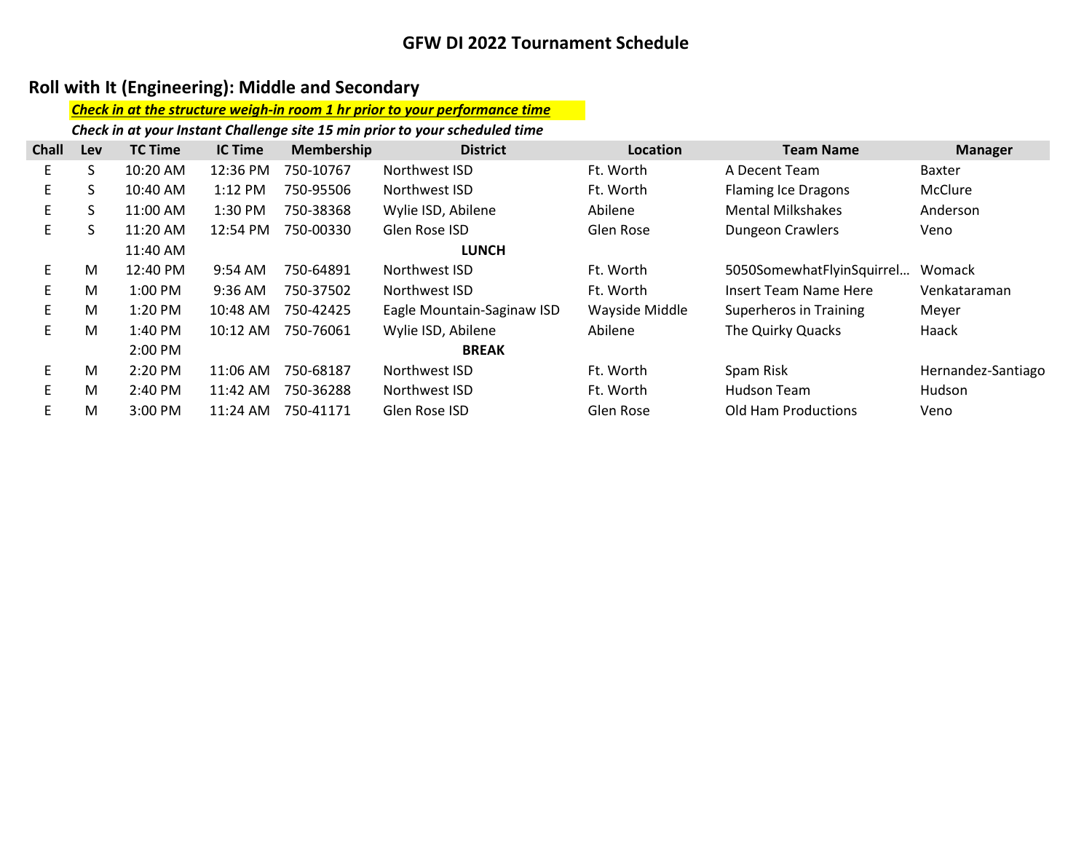## Roll with It (Engineering): Middle and Secondary

#### Check in at the structure weigh-in room 1 hr prior to your performance time

Check in at your Instant Challenge site 15 min prior to your scheduled time

| <b>Chall</b> | Lev | <b>TC Time</b>      | <b>IC Time</b> | Membership | <b>District</b>            | Location       | <b>Team Name</b>           | <b>Manager</b>     |
|--------------|-----|---------------------|----------------|------------|----------------------------|----------------|----------------------------|--------------------|
| E.           | S   | 10:20 AM            | 12:36 PM       | 750-10767  | Northwest ISD              | Ft. Worth      | A Decent Team              | <b>Baxter</b>      |
| E.           | S   | 10:40 AM            | $1:12$ PM      | 750-95506  | Northwest ISD              | Ft. Worth      | <b>Flaming Ice Dragons</b> | McClure            |
| E.           | S   | 11:00 AM            | 1:30 PM        | 750-38368  | Wylie ISD, Abilene         | Abilene        | <b>Mental Milkshakes</b>   | Anderson           |
| E.           | S   | 11:20 AM            | 12:54 PM       | 750-00330  | Glen Rose ISD              | Glen Rose      | <b>Dungeon Crawlers</b>    | Veno               |
|              |     | 11:40 AM            |                |            | <b>LUNCH</b>               |                |                            |                    |
| E.           | M   | 12:40 PM            | 9:54 AM        | 750-64891  | Northwest ISD              | Ft. Worth      | 5050SomewhatFlyinSquirrel  | Womack             |
| E.           | M   | $1:00$ PM           | 9:36 AM        | 750-37502  | Northwest ISD              | Ft. Worth      | Insert Team Name Here      | Venkataraman       |
| E.           | M   | $1:20$ PM           | 10:48 AM       | 750-42425  | Eagle Mountain-Saginaw ISD | Wayside Middle | Superheros in Training     | Meyer              |
| E.           | M   | 1:40 PM             | 10:12 AM       | 750-76061  | Wylie ISD, Abilene         | Abilene        | The Quirky Quacks          | Haack              |
|              |     | $2:00 \, \text{PM}$ |                |            | <b>BREAK</b>               |                |                            |                    |
| E.           | M   | 2:20 PM             | 11:06 AM       | 750-68187  | Northwest ISD              | Ft. Worth      | Spam Risk                  | Hernandez-Santiago |
| E.           | M   | 2:40 PM             | 11:42 AM       | 750-36288  | Northwest ISD              | Ft. Worth      | <b>Hudson Team</b>         | Hudson             |
| E.           | M   | 3:00 PM             | $11:24$ AM     | 750-41171  | Glen Rose ISD              | Glen Rose      | Old Ham Productions        | Veno               |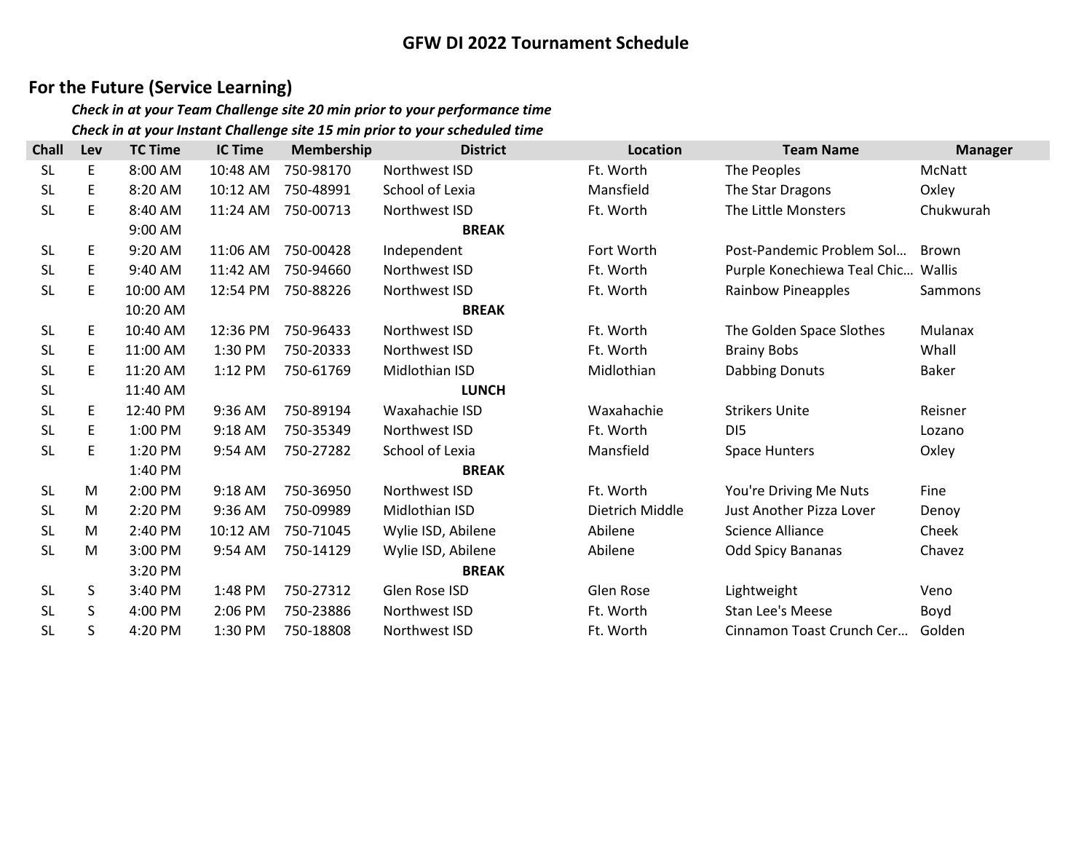## For the Future (Service Learning)

| <b>Chall</b> | Lev | <b>TC Time</b> | <b>IC Time</b> | Membership | <b>District</b>    | <b>Location</b> | <b>Team Name</b>                   | <b>Manager</b> |
|--------------|-----|----------------|----------------|------------|--------------------|-----------------|------------------------------------|----------------|
| <b>SL</b>    | E   | 8:00 AM        | 10:48 AM       | 750-98170  | Northwest ISD      | Ft. Worth       | The Peoples                        | McNatt         |
| <b>SL</b>    | E   | 8:20 AM        | 10:12 AM       | 750-48991  | School of Lexia    | Mansfield       | The Star Dragons                   | Oxley          |
| <b>SL</b>    | E   | 8:40 AM        | 11:24 AM       | 750-00713  | Northwest ISD      | Ft. Worth       | The Little Monsters                | Chukwurah      |
|              |     | 9:00 AM        |                |            | <b>BREAK</b>       |                 |                                    |                |
| <b>SL</b>    | E   | 9:20 AM        | 11:06 AM       | 750-00428  | Independent        | Fort Worth      | Post-Pandemic Problem Sol          | Brown          |
| <b>SL</b>    | E   | 9:40 AM        | 11:42 AM       | 750-94660  | Northwest ISD      | Ft. Worth       | Purple Konechiewa Teal Chic Wallis |                |
| <b>SL</b>    | E   | 10:00 AM       | 12:54 PM       | 750-88226  | Northwest ISD      | Ft. Worth       | <b>Rainbow Pineapples</b>          | Sammons        |
|              |     | 10:20 AM       |                |            | <b>BREAK</b>       |                 |                                    |                |
| <b>SL</b>    | E   | 10:40 AM       | 12:36 PM       | 750-96433  | Northwest ISD      | Ft. Worth       | The Golden Space Slothes           | Mulanax        |
| <b>SL</b>    | E   | 11:00 AM       | 1:30 PM        | 750-20333  | Northwest ISD      | Ft. Worth       | <b>Brainy Bobs</b>                 | Whall          |
| <b>SL</b>    | E   | 11:20 AM       | 1:12 PM        | 750-61769  | Midlothian ISD     | Midlothian      | Dabbing Donuts                     | Baker          |
| <b>SL</b>    |     | 11:40 AM       |                |            | <b>LUNCH</b>       |                 |                                    |                |
| <b>SL</b>    | E   | 12:40 PM       | $9:36$ AM      | 750-89194  | Waxahachie ISD     | Waxahachie      | <b>Strikers Unite</b>              | Reisner        |
| <b>SL</b>    | E   | 1:00 PM        | 9:18 AM        | 750-35349  | Northwest ISD      | Ft. Worth       | D <sub>15</sub>                    | Lozano         |
| <b>SL</b>    | E   | 1:20 PM        | 9:54 AM        | 750-27282  | School of Lexia    | Mansfield       | <b>Space Hunters</b>               | Oxley          |
|              |     | 1:40 PM        |                |            | <b>BREAK</b>       |                 |                                    |                |
| <b>SL</b>    | M   | 2:00 PM        | 9:18 AM        | 750-36950  | Northwest ISD      | Ft. Worth       | You're Driving Me Nuts             | Fine           |
| <b>SL</b>    | M   | 2:20 PM        | 9:36 AM        | 750-09989  | Midlothian ISD     | Dietrich Middle | Just Another Pizza Lover           | Denoy          |
| <b>SL</b>    | M   | 2:40 PM        | 10:12 AM       | 750-71045  | Wylie ISD, Abilene | Abilene         | <b>Science Alliance</b>            | Cheek          |
| <b>SL</b>    | M   | 3:00 PM        | 9:54 AM        | 750-14129  | Wylie ISD, Abilene | Abilene         | <b>Odd Spicy Bananas</b>           | Chavez         |
|              |     | 3:20 PM        |                |            | <b>BREAK</b>       |                 |                                    |                |
| <b>SL</b>    | S   | 3:40 PM        | 1:48 PM        | 750-27312  | Glen Rose ISD      | Glen Rose       | Lightweight                        | Veno           |
| <b>SL</b>    | S   | 4:00 PM        | 2:06 PM        | 750-23886  | Northwest ISD      | Ft. Worth       | <b>Stan Lee's Meese</b>            | Boyd           |
| <b>SL</b>    | S   | 4:20 PM        | 1:30 PM        | 750-18808  | Northwest ISD      | Ft. Worth       | Cinnamon Toast Crunch Cer          | Golden         |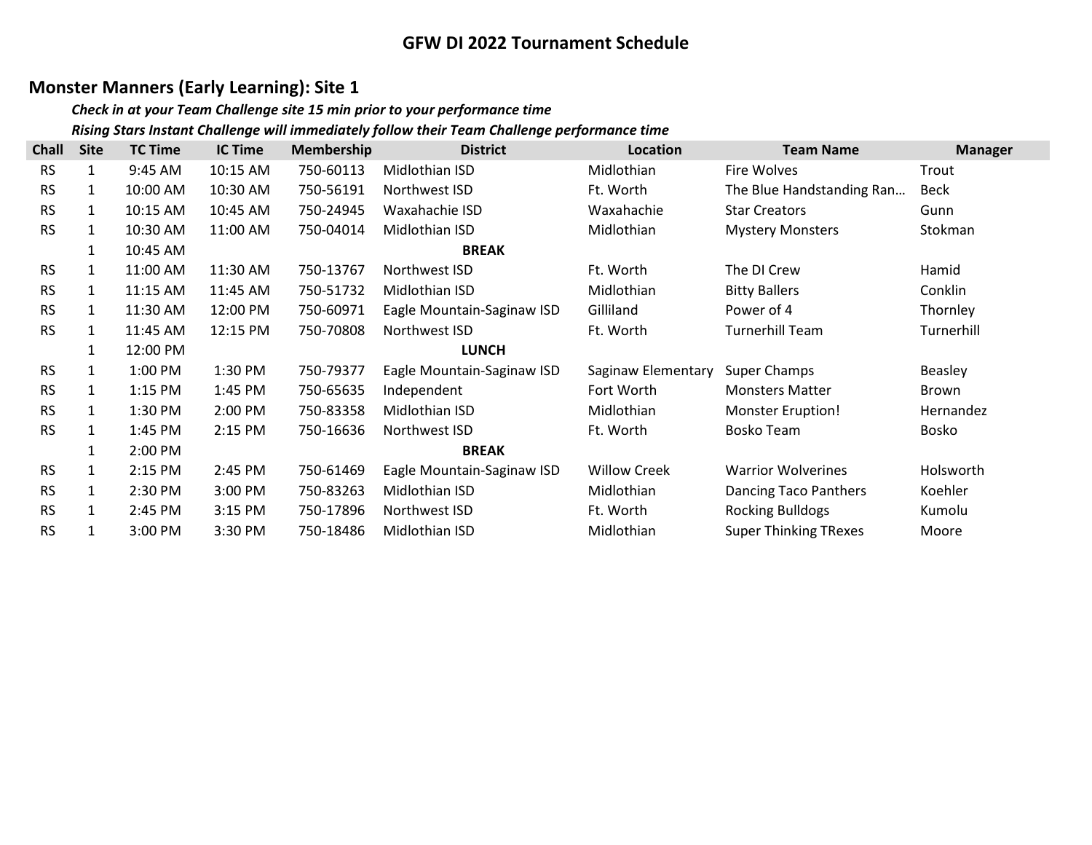## Monster Manners (Early Learning): Site 1

#### Check in at your Team Challenge site 15 min prior to your performance time Rising Stars Instant Challenge will immediately follow their Team Challenge performance time

| <b>Chall</b> | <b>Site</b>  | <b>TC Time</b> | <b>IC Time</b> | <b>Membership</b> | <b>District</b>            | Location            | <b>Team Name</b>             | <b>Manager</b> |
|--------------|--------------|----------------|----------------|-------------------|----------------------------|---------------------|------------------------------|----------------|
| <b>RS</b>    | 1            | 9:45 AM        | 10:15 AM       | 750-60113         | Midlothian ISD             | Midlothian          | Fire Wolves                  | Trout          |
| <b>RS</b>    | $\mathbf{1}$ | 10:00 AM       | 10:30 AM       | 750-56191         | Northwest ISD              | Ft. Worth           | The Blue Handstanding Ran    | <b>Beck</b>    |
| <b>RS</b>    | $\mathbf{1}$ | 10:15 AM       | 10:45 AM       | 750-24945         | Waxahachie ISD             | Waxahachie          | <b>Star Creators</b>         | Gunn           |
| <b>RS</b>    | 1            | 10:30 AM       | 11:00 AM       | 750-04014         | Midlothian ISD             | Midlothian          | <b>Mystery Monsters</b>      | Stokman        |
|              | 1            | 10:45 AM       |                |                   | <b>BREAK</b>               |                     |                              |                |
| <b>RS</b>    | $\mathbf{1}$ | 11:00 AM       | 11:30 AM       | 750-13767         | Northwest ISD              | Ft. Worth           | The DI Crew                  | Hamid          |
| <b>RS</b>    | $\mathbf{1}$ | 11:15 AM       | 11:45 AM       | 750-51732         | Midlothian ISD             | Midlothian          | <b>Bitty Ballers</b>         | Conklin        |
| <b>RS</b>    | $\mathbf{1}$ | 11:30 AM       | 12:00 PM       | 750-60971         | Eagle Mountain-Saginaw ISD | Gilliland           | Power of 4                   | Thornley       |
| <b>RS</b>    | $\mathbf{1}$ | 11:45 AM       | 12:15 PM       | 750-70808         | Northwest ISD              | Ft. Worth           | <b>Turnerhill Team</b>       | Turnerhill     |
|              | 1            | 12:00 PM       |                |                   | <b>LUNCH</b>               |                     |                              |                |
| <b>RS</b>    | 1            | 1:00 PM        | 1:30 PM        | 750-79377         | Eagle Mountain-Saginaw ISD | Saginaw Elementary  | Super Champs                 | Beasley        |
| <b>RS</b>    | $\mathbf{1}$ | 1:15 PM        | 1:45 PM        | 750-65635         | Independent                | Fort Worth          | <b>Monsters Matter</b>       | Brown          |
| <b>RS</b>    | $\mathbf{1}$ | $1:30$ PM      | 2:00 PM        | 750-83358         | Midlothian ISD             | Midlothian          | <b>Monster Eruption!</b>     | Hernandez      |
| <b>RS</b>    | $\mathbf{1}$ | 1:45 PM        | 2:15 PM        | 750-16636         | Northwest ISD              | Ft. Worth           | Bosko Team                   | Bosko          |
|              | 1            | 2:00 PM        |                |                   | <b>BREAK</b>               |                     |                              |                |
| <b>RS</b>    | $\mathbf{1}$ | 2:15 PM        | 2:45 PM        | 750-61469         | Eagle Mountain-Saginaw ISD | <b>Willow Creek</b> | <b>Warrior Wolverines</b>    | Holsworth      |
| <b>RS</b>    | $\mathbf{1}$ | 2:30 PM        | 3:00 PM        | 750-83263         | Midlothian ISD             | Midlothian          | Dancing Taco Panthers        | Koehler        |
| <b>RS</b>    | $\mathbf{1}$ | 2:45 PM        | $3:15$ PM      | 750-17896         | Northwest ISD              | Ft. Worth           | <b>Rocking Bulldogs</b>      | Kumolu         |
| <b>RS</b>    | 1            | 3:00 PM        | 3:30 PM        | 750-18486         | Midlothian ISD             | Midlothian          | <b>Super Thinking TRexes</b> | Moore          |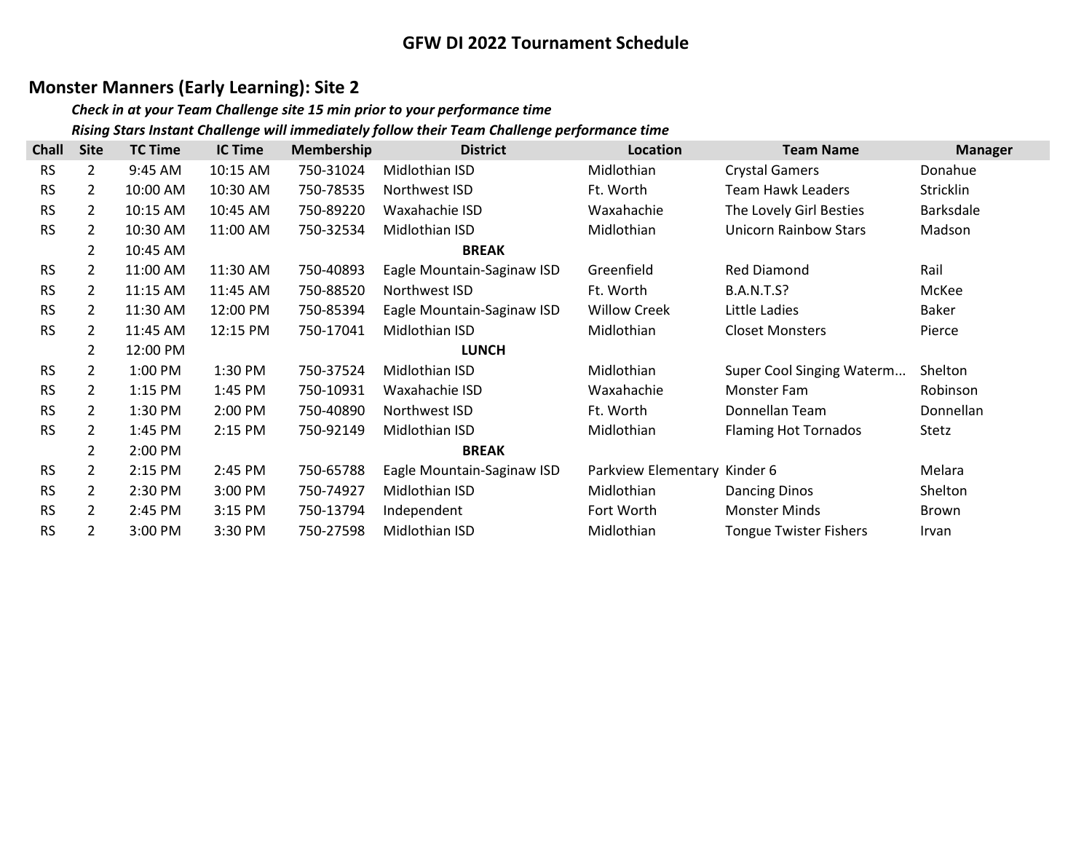## Monster Manners (Early Learning): Site 2

#### Check in at your Team Challenge site 15 min prior to your performance time Rising Stars Instant Challenge will immediately follow their Team Challenge performance time

| <b>Chall</b> | <b>Site</b>    | <b>TC Time</b> | <b>IC Time</b> | <b>Membership</b> | <b>District</b>            | Location                     | <b>Team Name</b>              | <b>Manager</b> |
|--------------|----------------|----------------|----------------|-------------------|----------------------------|------------------------------|-------------------------------|----------------|
| <b>RS</b>    | $\overline{2}$ | 9:45 AM        | 10:15 AM       | 750-31024         | Midlothian ISD             | Midlothian                   | <b>Crystal Gamers</b>         | Donahue        |
| <b>RS</b>    | $\overline{2}$ | 10:00 AM       | 10:30 AM       | 750-78535         | Northwest ISD              | Ft. Worth                    | <b>Team Hawk Leaders</b>      | Stricklin      |
| <b>RS</b>    | 2              | 10:15 AM       | 10:45 AM       | 750-89220         | Waxahachie ISD             | Waxahachie                   | The Lovely Girl Besties       | Barksdale      |
| <b>RS</b>    | $\overline{2}$ | 10:30 AM       | 11:00 AM       | 750-32534         | Midlothian ISD             | Midlothian                   | Unicorn Rainbow Stars         | Madson         |
|              | $\overline{2}$ | 10:45 AM       |                |                   | <b>BREAK</b>               |                              |                               |                |
| <b>RS</b>    | $\overline{2}$ | 11:00 AM       | 11:30 AM       | 750-40893         | Eagle Mountain-Saginaw ISD | Greenfield                   | <b>Red Diamond</b>            | Rail           |
| <b>RS</b>    | 2              | 11:15 AM       | 11:45 AM       | 750-88520         | Northwest ISD              | Ft. Worth                    | <b>B.A.N.T.S?</b>             | McKee          |
| <b>RS</b>    | $\overline{2}$ | 11:30 AM       | 12:00 PM       | 750-85394         | Eagle Mountain-Saginaw ISD | <b>Willow Creek</b>          | Little Ladies                 | <b>Baker</b>   |
| <b>RS</b>    | $\overline{2}$ | 11:45 AM       | 12:15 PM       | 750-17041         | Midlothian ISD             | Midlothian                   | <b>Closet Monsters</b>        | Pierce         |
|              | 2              | 12:00 PM       |                |                   | <b>LUNCH</b>               |                              |                               |                |
| <b>RS</b>    | $\overline{2}$ | 1:00 PM        | 1:30 PM        | 750-37524         | Midlothian ISD             | Midlothian                   | Super Cool Singing Waterm     | Shelton        |
| <b>RS</b>    | 2              | 1:15 PM        | 1:45 PM        | 750-10931         | Waxahachie ISD             | Waxahachie                   | Monster Fam                   | Robinson       |
| <b>RS</b>    | $\overline{2}$ | 1:30 PM        | 2:00 PM        | 750-40890         | Northwest ISD              | Ft. Worth                    | Donnellan Team                | Donnellan      |
| <b>RS</b>    | $\overline{2}$ | 1:45 PM        | 2:15 PM        | 750-92149         | Midlothian ISD             | Midlothian                   | <b>Flaming Hot Tornados</b>   | Stetz          |
|              | $\overline{2}$ | 2:00 PM        |                |                   | <b>BREAK</b>               |                              |                               |                |
| <b>RS</b>    | $\overline{2}$ | 2:15 PM        | 2:45 PM        | 750-65788         | Eagle Mountain-Saginaw ISD | Parkview Elementary Kinder 6 |                               | Melara         |
| <b>RS</b>    | $\overline{2}$ | 2:30 PM        | 3:00 PM        | 750-74927         | Midlothian ISD             | Midlothian                   | <b>Dancing Dinos</b>          | Shelton        |
| <b>RS</b>    | 2              | 2:45 PM        | 3:15 PM        | 750-13794         | Independent                | Fort Worth                   | <b>Monster Minds</b>          | Brown          |
| <b>RS</b>    | 2              | 3:00 PM        | 3:30 PM        | 750-27598         | Midlothian ISD             | Midlothian                   | <b>Tongue Twister Fishers</b> | Irvan          |